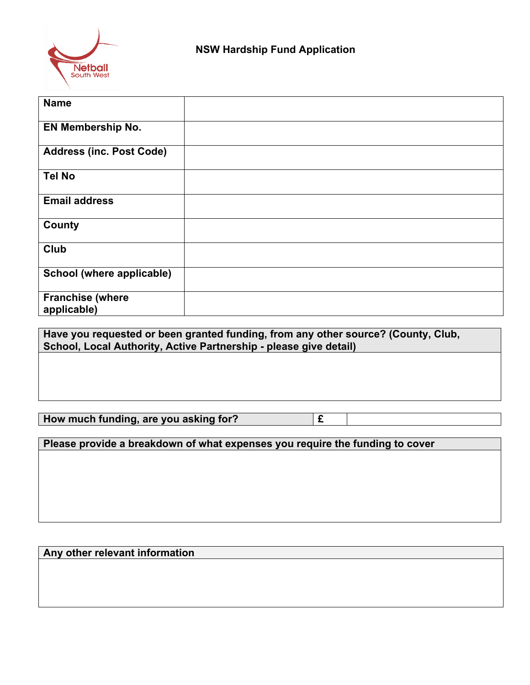

| <b>Name</b>                            |  |
|----------------------------------------|--|
| <b>EN Membership No.</b>               |  |
| <b>Address (inc. Post Code)</b>        |  |
| <b>Tel No</b>                          |  |
| <b>Email address</b>                   |  |
| County                                 |  |
| Club                                   |  |
| School (where applicable)              |  |
| <b>Franchise (where</b><br>applicable) |  |

**Have you requested or been granted funding, from any other source? (County, Club, School, Local Authority, Active Partnership - please give detail)**

**How much funding, are you asking for? £**

**Please provide a breakdown of what expenses you require the funding to cover**

**Any other relevant information**